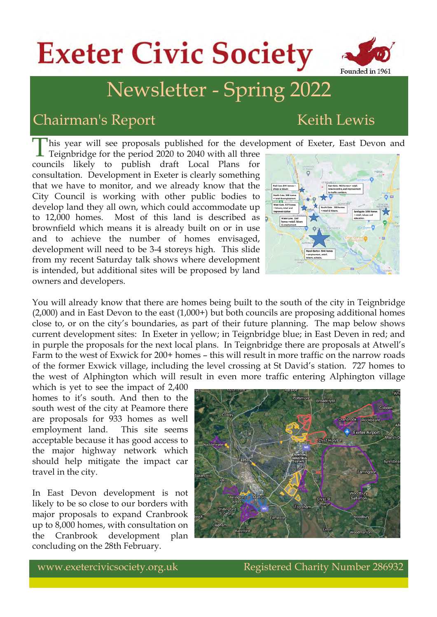# **Exeter Civic Society**



#### Chairman's Report Keith Lewis

owners and developers.

Founded in 1961

This year will see proposals published for the development of Exeter, East Devon and Teignbridge for the period 2020 to 2040 with all three Teignbridge for the period 2020 to 2040 with all three councils likely to publish draft Local Plans for consultation. Development in Exeter is clearly something that we have to monitor, and we already know that the City Council is working with other public bodies to develop land they all own, which could accommodate up to 12,000 homes. Most of this land is described as brownfield which means it is already built on or in use and to achieve the number of homes envisaged, development will need to be 34 storeys high. This slide from my recent Saturday talk shows where development is intended, but additional sites will be proposed by land



You will already know that there are homes being built to the south of the city in Teignbridge (2,000) and in East Devon to the east (1,000+) but both councils are proposing additional homes close to, or on the city's boundaries, as part of their future planning. The map below shows current development sites: In Exeter in yellow; in Teignbridge blue; in East Deven in red; and in purple the proposals for the next local plans. In Teignbridge there are proposals at Atwell's Farm to the west of Exwick for 200+ homes – this will result in more traffic on the narrow roads of the former Exwick village, including the level crossing at St David's station. 727 homes to the west of Alphington which will result in even more traffic entering Alphington village

which is yet to see the impact of 2,400 homes to it's south. And then to the south west of the city at Peamore there are proposals for 933 homes as well employment land. This site seems acceptable because it has good access to the major highway network which should help mitigate the impact car travel in the city.

In East Devon development is not likely to be so close to our borders with major proposals to expand Cranbrook up to 8,000 homes, with consultation on the Cranbrook development plan concluding on the 28th February.

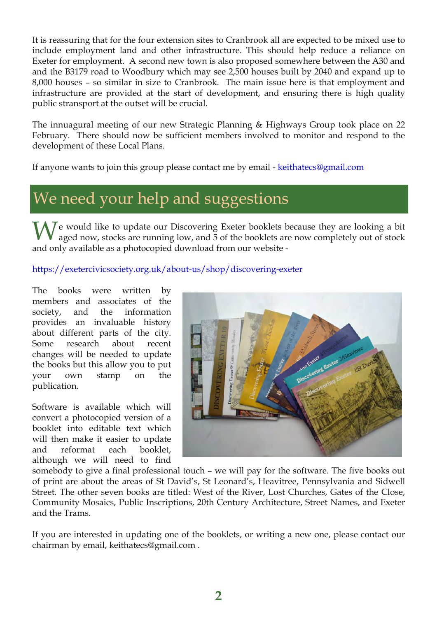It is reassuring that for the four extension sites to Cranbrook all are expected to be mixed use to include employment land and other infrastructure. This should help reduce a reliance on Exeter for employment. A second new town is also proposed somewhere between the A30 and and the B3179 road to Woodbury which may see 2,500 houses built by 2040 and expand up to 8,000 houses – so similar in size to Cranbrook. The main issue here is that employment and infrastructure are provided at the start of development, and ensuring there is high quality public stransport at the outset will be crucial.

The innuagural meeting of our new Strategic Planning & Highways Group took place on 22 February. There should now be sufficient members involved to monitor and respond to the development of these Local Plans.

If anyone wants to join this group please contact me by email - [keithatecs@gmail.com](mailto:keithatecs@gmail.com)

## We need your help and suggestions

 $\bigwedge I$ e would like to update our Discovering Exeter booklets because they are looking a bit aged now, stocks are running low, and 5 of the booklets are now completely out of stock and only available as a photocopied download from our website

#### https://exetercivicsociety.org.uk/about-us/shop/discovering-exeter

The books were written by members and associates of the society, and the information provides an invaluable history about different parts of the city. Some research about recent changes will be needed to update the books but this allow you to put your own stamp on the publication.

Software is available which will convert a photocopied version of a booklet into editable text which will then make it easier to update and reformat each booklet, although we will need to find



somebody to give a final professional touch – we will pay for the software. The five books out of print are about the areas of St David's, St Leonard's, Heavitree, Pennsylvania and Sidwell Street. The other seven books are titled: West of the River, Lost Churches, Gates of the Close, Community Mosaics, Public Inscriptions, 20th Century Architecture, Street Names, and Exeter and the Trams.

If you are interested in updating one of the booklets, or writing a new one, please contact our chairman by email, keithatecs@gmail.com .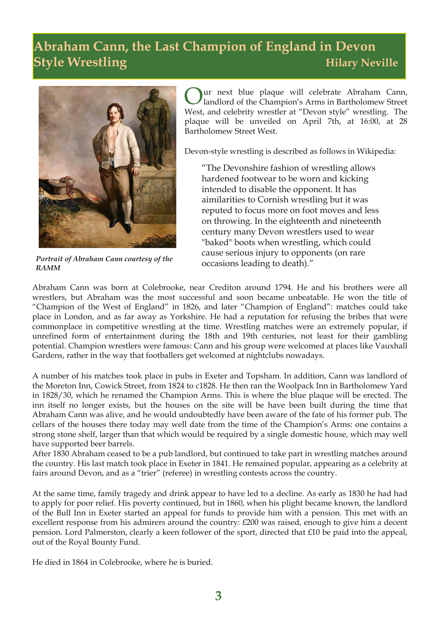#### **Abraham Cann, the Last Champion of England in Devon Style Wrestling Hilary Neville**



*Portrait of Abraham Cann courtesy of the RAMM*

ur next blue plaque will celebrate Abraham Cann, landlord of the Champion's Arms in Bartholomew Street West, and celebrity wrestler at "Devon style" wrestling. The plaque will be unveiled on April 7th, at 16:00, at 28 Bartholomew Street West.

Devon-style wrestling is described as follows in Wikipedia:

"The Devonshire fashion of wrestling allows hardened footwear to be worn and kicking intended to disable the opponent. It has aimilarities to Cornish wrestling but it was reputed to focus more on foot moves and less on throwing. In the eighteenth and nineteenth century many Devon wrestlers used to wear "baked" boots when wrestling, which could cause serious injury to opponents (on rare occasions leading to death)."

Abraham Cann was born at Colebrooke, near Crediton around 1794. He and his brothers were all wrestlers, but Abraham was the most successful and soon became unbeatable. He won the title of "Champion of the West of England" in 1826, and later "Champion of England": matches could take place in London, and as far away as Yorkshire. He had a reputation for refusing the bribes that were commonplace in competitive wrestling at the time. Wrestling matches were an extremely popular, if unrefined form of entertainment during the 18th and 19th centuries, not least for their gambling potential. Champion wrestlers were famous: Cann and his group were welcomed at places like Vauxhall Gardens, rather in the way that footballers get welcomed at nightclubs nowadays.

A number of his matches took place in pubs in Exeter and Topsham. In addition, Cann was landlord of the Moreton Inn, Cowick Street, from 1824 to c1828. He then ran the Woolpack Inn in Bartholomew Yard in 1828/30, which he renamed the Champion Arms. This is where the blue plaque will be erected. The inn itself no longer exists, but the houses on the site will be have been built during the time that Abraham Cann was alive, and he would undoubtedly have been aware of the fate of his former pub. The cellars of the houses there today may well date from the time of the Champion's Arms: one contains a strong stone shelf, larger than that which would be required by a single domestic house, which may well have supported beer barrels.

After 1830 Abraham ceased to be a pub landlord, but continued to take part in wrestling matches around the country. His last match took place in Exeter in 1841. He remained popular, appearing as a celebrity at fairs around Devon, and as a "trier" (referee) in wrestling contests across the country.

At the same time, family tragedy and drink appear to have led to a decline. As early as 1830 he had had to apply for poor relief. His poverty continued, but in 1860, when his plight became known, the landlord of the Bull Inn in Exeter started an appeal for funds to provide him with a pension. This met with an excellent response from his admirers around the country: £200 was raised, enough to give him a decent pension. Lord Palmerston, clearly a keen follower of the sport, directed that £10 be paid into the appeal, out of the Royal Bounty Fund.

He died in 1864 in Colebrooke, where he is buried.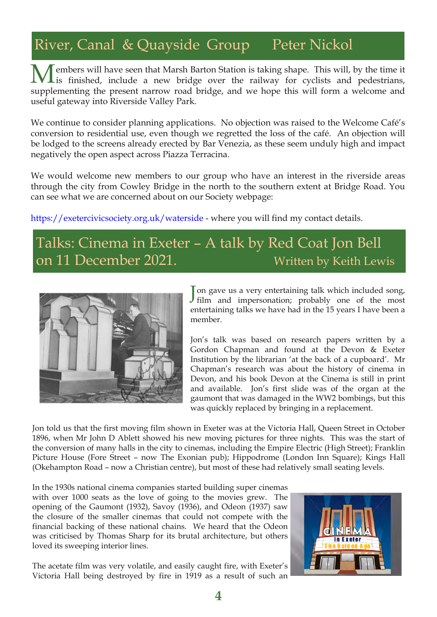## River, Canal & Quayside Group Peter Nickol

**Members will have seen that Marsh Barton Station is taking shape.** This will, by the time it is finished, include a new bridge over the railway for cyclists and pedestrians, supplementing the present narrow road bridge, and we hope this will form a welcome and useful gateway into Riverside Valley Park.

We continue to consider planning applications. No objection was raised to the Welcome Café's conversion to residential use, even though we regretted the loss of the café. An objection will be lodged to the screens already erected by Bar Venezia, as these seem unduly high and impact negatively the open aspect across Piazza Terracina.

We would welcome new members to our group who have an interest in the riverside areas through the city from Cowley Bridge in the north to the southern extent at Bridge Road. You can see what we are concerned about on our Society webpage:

[https://exetercivicsociety.org.uk/waterside](https://exetercivicsociety.org.uk/waterside  ) where you will find my contact details.

#### Talks: Cinema in Exeter – A talk by Red Coat Jon Bell on 11 December 2021. Written by Keith Lewis



Jon gave us a very entertaining talk which included song,<br>film and impersonation; probably one of the most film and impersonation; probably one of the most entertaining talks we have had in the 15 years I have been a member.

Jon's talk was based on research papers written by a Gordon Chapman and found at the Devon & Exeter Institution by the librarian 'at the back of a cupboard'. Mr Chapman's research was about the history of cinema in Devon, and his book Devon at the Cinema is still in print and available. Jon's first slide was of the organ at the gaumont that was damaged in the WW2 bombings, but this was quickly replaced by bringing in a replacement.

Jon told us that the first moving film shown in Exeter was at the Victoria Hall, Queen Street in October 1896, when Mr John D Ablett showed his new moving pictures for three nights. This was the start of the conversion of many halls in the city to cinemas, including the Empire Electric (High Street); Franklin Picture House (Fore Street – now The Exonian pub); Hippodrome (London Inn Square); Kings Hall (Okehampton Road – now a Christian centre), but most of these had relatively small seating levels.

In the 1930s national cinema companies started building super cinemas with over 1000 seats as the love of going to the movies grew. The opening of the Gaumont (1932), Savoy (1936), and Odeon (1937) saw the closure of the smaller cinemas that could not compete with the financial backing of these national chains. We heard that the Odeon was criticised by Thomas Sharp for its brutal architecture, but others loved its sweeping interior lines.

The acetate film was very volatile, and easily caught fire, with Exeter's Victoria Hall being destroyed by fire in 1919 as a result of such an

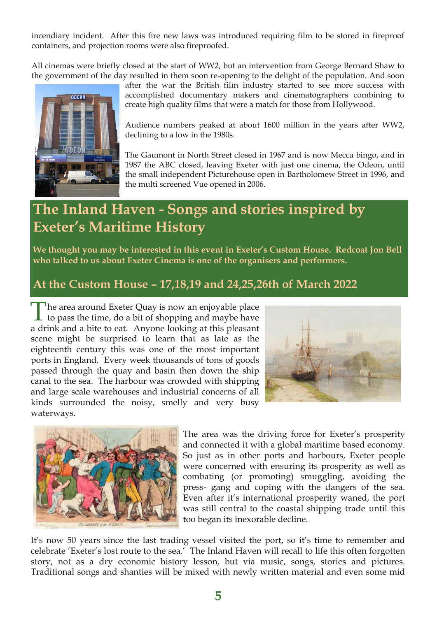incendiary incident. After this fire new laws was introduced requiring film to be stored in fireproof containers, and projection rooms were also fireproofed.

All cinemas were briefly closed at the start of WW2, but an intervention from George Bernard Shaw to the government of the day resulted in them soon re-opening to the delight of the population. And soon



after the war the British film industry started to see more success with accomplished documentary makers and cinematographers combining to create high quality films that were a match for those from Hollywood.

Audience numbers peaked at about 1600 million in the years after WW2, declining to a low in the 1980s.

The Gaumont in North Street closed in 1967 and is now Mecca bingo, and in 1987 the ABC closed, leaving Exeter with just one cinema, the Odeon, until the small independent Picturehouse open in Bartholomew Street in 1996, and the multi screened Vue opened in 2006.

#### **The Inland Haven - Songs and stories inspired by Exeter's Maritime History**

**We thought you may be interested in this event in Exeter's Custom House. Redcoat Jon Bell who talked to us about Exeter Cinema is one of the organisers and performers.**

#### **At the Custom House – 17,18,19 and 24,25,26th of March 2022**

The area around Exeter Quay is now an enjoyable place<br>to pass the time, do a bit of shopping and maybe have The area around Exeter Quay is now an enjoyable place a drink and a bite to eat. Anyone looking at this pleasant scene might be surprised to learn that as late as the eighteenth century this was one of the most important ports in England. Every week thousands of tons of goods passed through the quay and basin then down the ship canal to the sea. The harbour was crowded with shipping and large scale warehouses and industrial concerns of all kinds surrounded the noisy, smelly and very busy waterways.





The area was the driving force for Exeter's prosperity and connected it with a global maritime based economy. So just as in other ports and harbours, Exeter people were concerned with ensuring its prosperity as well as combating (or promoting) smuggling, avoiding the press- gang and coping with the dangers of the sea. Even after it's international prosperity waned, the port was still central to the coastal shipping trade until this too began its inexorable decline.

It's now 50 years since the last trading vessel visited the port, so it's time to remember and celebrate 'Exeter's lost route to the sea.' The Inland Haven will recall to life this often forgotten story, not as a dry economic history lesson, but via music, songs, stories and pictures. Traditional songs and shanties will be mixed with newly written material and even some mid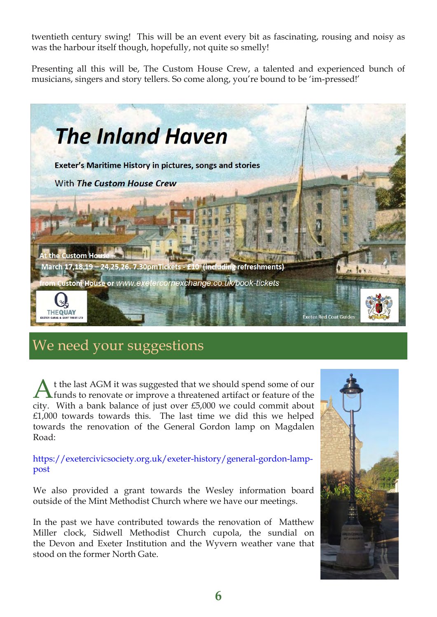twentieth century swing! This will be an event every bit as fascinating, rousing and noisy as was the harbour itself though, hopefully, not quite so smelly!

Presenting all this will be, The Custom House Crew, a talented and experienced bunch of musicians, singers and story tellers. So come along, you're bound to be 'im-pressed!'



#### We need your suggestions

A t the last AGM it was suggested that we should spend some of our funds to renovate or improve a threatened artifact or feature of the city. With a bank balance of just over £5,000 we could commit about £1,000 towards towards this. The last time we did this we helped towards the renovation of the General Gordon lamp on Magdalen Road:

https://exetercivicsociety.org.uk/exeter-history/general-gordon-lamppost

We also provided a grant towards the Wesley information board outside of the Mint Methodist Church where we have our meetings.

In the past we have contributed towards the renovation of Matthew Miller clock, Sidwell Methodist Church cupola, the sundial on the Devon and Exeter Institution and the Wyvern weather vane that stood on the former North Gate.